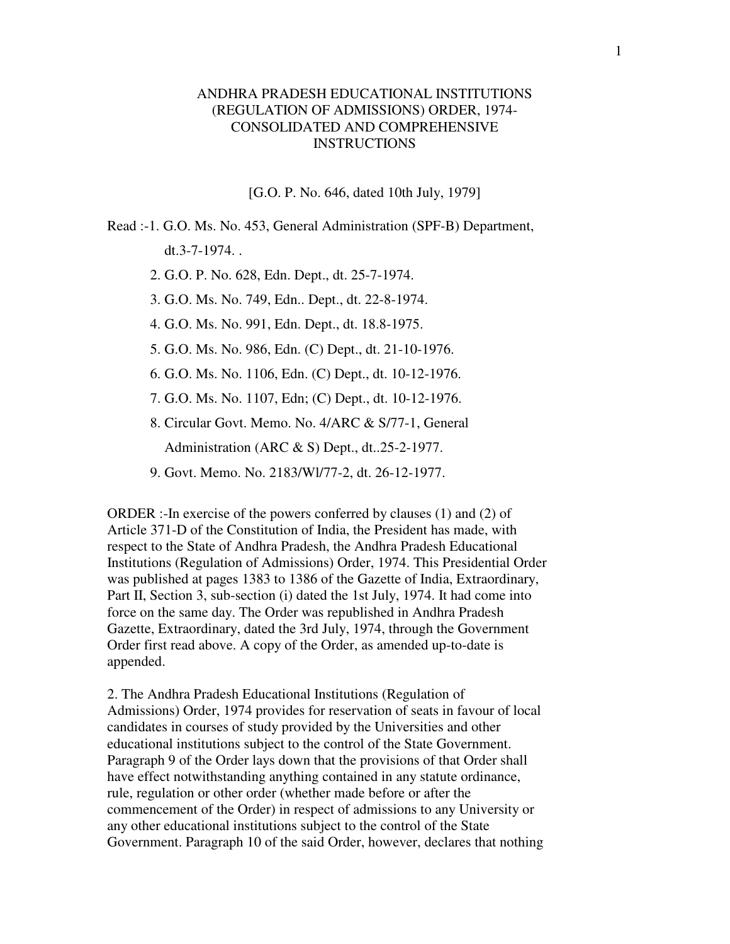# ANDHRA PRADESH EDUCATIONAL INSTITUTIONS (REGULATION OF ADMISSIONS) ORDER, 1974- CONSOLIDATED AND COMPREHENSIVE INSTRUCTIONS

[G.O. P. No. 646, dated 10th July, 1979]

- Read :-1. G.O. Ms. No. 453, General Administration (SPF-B) Department, dt.3-7-1974. .
	- 2. G.O. P. No. 628, Edn. Dept., dt. 25-7-1974.
	- 3. G.O. Ms. No. 749, Edn.. Dept., dt. 22-8-1974.
	- 4. G.O. Ms. No. 991, Edn. Dept., dt. 18.8-1975.
	- 5. G.O. Ms. No. 986, Edn. (C) Dept., dt. 21-10-1976.
	- 6. G.O. Ms. No. 1106, Edn. (C) Dept., dt. 10-12-1976.
	- 7. G.O. Ms. No. 1107, Edn; (C) Dept., dt. 10-12-1976.
	- 8. Circular Govt. Memo. No. 4/ARC & S/77-1, General Administration (ARC & S) Dept., dt..25-2-1977.
	- 9. Govt. Memo. No. 2183/Wl/77-2, dt. 26-12-1977.

ORDER :-In exercise of the powers conferred by clauses (1) and (2) of Article 371-D of the Constitution of India, the President has made, with respect to the State of Andhra Pradesh, the Andhra Pradesh Educational Institutions (Regulation of Admissions) Order, 1974. This Presidential Order was published at pages 1383 to 1386 of the Gazette of India, Extraordinary, Part II, Section 3, sub-section (i) dated the 1st July, 1974. It had come into force on the same day. The Order was republished in Andhra Pradesh Gazette, Extraordinary, dated the 3rd July, 1974, through the Government Order first read above. A copy of the Order, as amended up-to-date is appended.

2. The Andhra Pradesh Educational Institutions (Regulation of Admissions) Order, 1974 provides for reservation of seats in favour of local candidates in courses of study provided by the Universities and other educational institutions subject to the control of the State Government. Paragraph 9 of the Order lays down that the provisions of that Order shall have effect notwithstanding anything contained in any statute ordinance, rule, regulation or other order (whether made before or after the commencement of the Order) in respect of admissions to any University or any other educational institutions subject to the control of the State Government. Paragraph 10 of the said Order, however, declares that nothing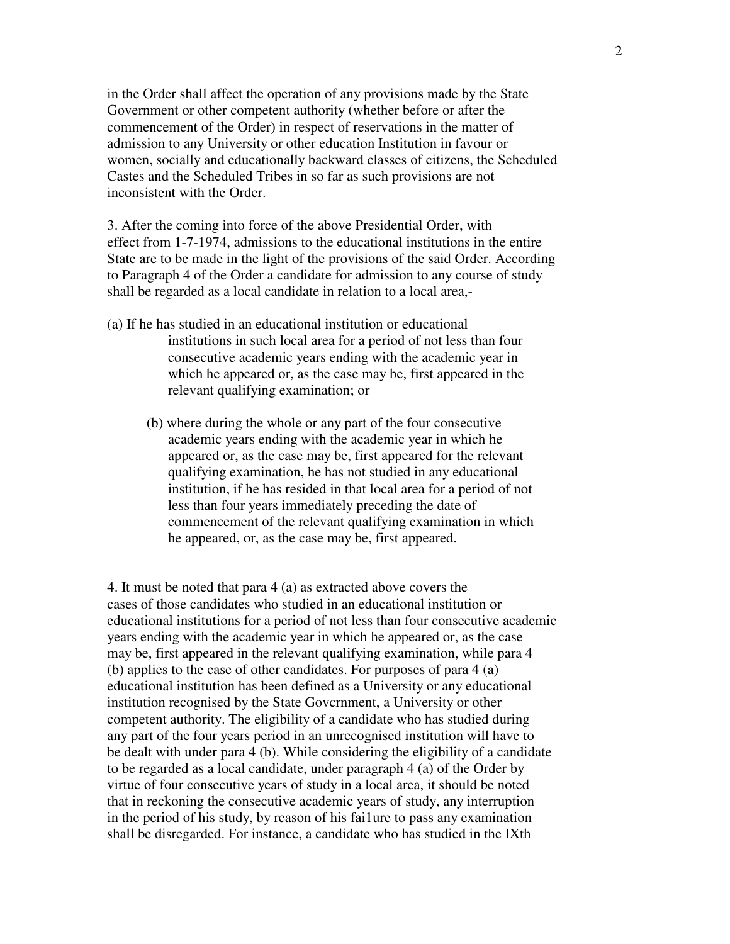in the Order shall affect the operation of any provisions made by the State Government or other competent authority (whether before or after the commencement of the Order) in respect of reservations in the matter of admission to any University or other education Institution in favour or women, socially and educationally backward classes of citizens, the Scheduled Castes and the Scheduled Tribes in so far as such provisions are not inconsistent with the Order.

3. After the coming into force of the above Presidential Order, with effect from 1-7-1974, admissions to the educational institutions in the entire State are to be made in the light of the provisions of the said Order. According to Paragraph 4 of the Order a candidate for admission to any course of study shall be regarded as a local candidate in relation to a local area,-

- (a) If he has studied in an educational institution or educational institutions in such local area for a period of not less than four consecutive academic years ending with the academic year in which he appeared or, as the case may be, first appeared in the relevant qualifying examination; or
	- (b) where during the whole or any part of the four consecutive academic years ending with the academic year in which he appeared or, as the case may be, first appeared for the relevant qualifying examination, he has not studied in any educational institution, if he has resided in that local area for a period of not less than four years immediately preceding the date of commencement of the relevant qualifying examination in which he appeared, or, as the case may be, first appeared.

4. It must be noted that para 4 (a) as extracted above covers the cases of those candidates who studied in an educational institution or educational institutions for a period of not less than four consecutive academic years ending with the academic year in which he appeared or, as the case may be, first appeared in the relevant qualifying examination, while para 4 (b) applies to the case of other candidates. For purposes of para 4 (a) educational institution has been defined as a University or any educational institution recognised by the State Govcrnment, a University or other competent authority. The eligibility of a candidate who has studied during any part of the four years period in an unrecognised institution will have to be dealt with under para 4 (b). While considering the eligibility of a candidate to be regarded as a local candidate, under paragraph 4 (a) of the Order by virtue of four consecutive years of study in a local area, it should be noted that in reckoning the consecutive academic years of study, any interruption in the period of his study, by reason of his fai1ure to pass any examination shall be disregarded. For instance, a candidate who has studied in the IXth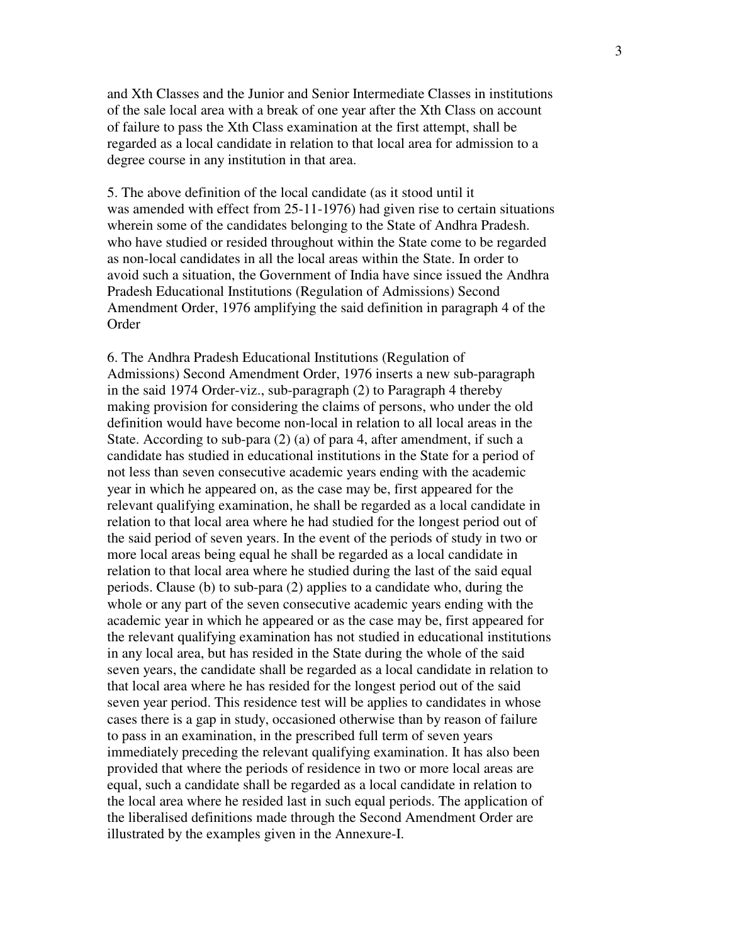and Xth Classes and the Junior and Senior Intermediate Classes in institutions of the sale local area with a break of one year after the Xth Class on account of failure to pass the Xth Class examination at the first attempt, shall be regarded as a local candidate in relation to that local area for admission to a degree course in any institution in that area.

5. The above definition of the local candidate (as it stood until it was amended with effect from 25-11-1976) had given rise to certain situations wherein some of the candidates belonging to the State of Andhra Pradesh. who have studied or resided throughout within the State come to be regarded as non-local candidates in all the local areas within the State. In order to avoid such a situation, the Government of India have since issued the Andhra Pradesh Educational Institutions (Regulation of Admissions) Second Amendment Order, 1976 amplifying the said definition in paragraph 4 of the **Order** 

6. The Andhra Pradesh Educational Institutions (Regulation of Admissions) Second Amendment Order, 1976 inserts a new sub-paragraph in the said 1974 Order-viz., sub-paragraph (2) to Paragraph 4 thereby making provision for considering the claims of persons, who under the old definition would have become non-local in relation to all local areas in the State. According to sub-para (2) (a) of para 4, after amendment, if such a candidate has studied in educational institutions in the State for a period of not less than seven consecutive academic years ending with the academic year in which he appeared on, as the case may be, first appeared for the relevant qualifying examination, he shall be regarded as a local candidate in relation to that local area where he had studied for the longest period out of the said period of seven years. In the event of the periods of study in two or more local areas being equal he shall be regarded as a local candidate in relation to that local area where he studied during the last of the said equal periods. Clause (b) to sub-para (2) applies to a candidate who, during the whole or any part of the seven consecutive academic years ending with the academic year in which he appeared or as the case may be, first appeared for the relevant qualifying examination has not studied in educational institutions in any local area, but has resided in the State during the whole of the said seven years, the candidate shall be regarded as a local candidate in relation to that local area where he has resided for the longest period out of the said seven year period. This residence test will be applies to candidates in whose cases there is a gap in study, occasioned otherwise than by reason of failure to pass in an examination, in the prescribed full term of seven years immediately preceding the relevant qualifying examination. It has also been provided that where the periods of residence in two or more local areas are equal, such a candidate shall be regarded as a local candidate in relation to the local area where he resided last in such equal periods. The application of the liberalised definitions made through the Second Amendment Order are illustrated by the examples given in the Annexure-I.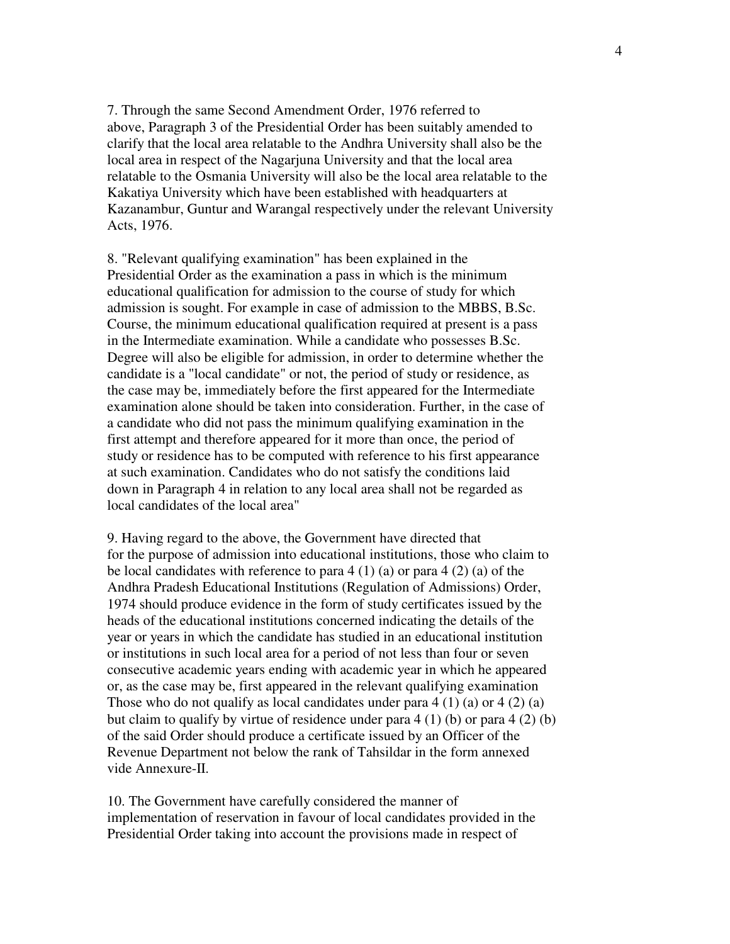7. Through the same Second Amendment Order, 1976 referred to above, Paragraph 3 of the Presidential Order has been suitably amended to clarify that the local area relatable to the Andhra University shall also be the local area in respect of the Nagarjuna University and that the local area relatable to the Osmania University will also be the local area relatable to the Kakatiya University which have been established with headquarters at Kazanambur, Guntur and Warangal respectively under the relevant University Acts, 1976.

8. "Relevant qualifying examination" has been explained in the Presidential Order as the examination a pass in which is the minimum educational qualification for admission to the course of study for which admission is sought. For example in case of admission to the MBBS, B.Sc. Course, the minimum educational qualification required at present is a pass in the Intermediate examination. While a candidate who possesses B.Sc. Degree will also be eligible for admission, in order to determine whether the candidate is a "local candidate" or not, the period of study or residence, as the case may be, immediately before the first appeared for the Intermediate examination alone should be taken into consideration. Further, in the case of a candidate who did not pass the minimum qualifying examination in the first attempt and therefore appeared for it more than once, the period of study or residence has to be computed with reference to his first appearance at such examination. Candidates who do not satisfy the conditions laid down in Paragraph 4 in relation to any local area shall not be regarded as local candidates of the local area"

9. Having regard to the above, the Government have directed that for the purpose of admission into educational institutions, those who claim to be local candidates with reference to para  $4(1)(a)$  or para  $4(2)(a)$  of the Andhra Pradesh Educational Institutions (Regulation of Admissions) Order, 1974 should produce evidence in the form of study certificates issued by the heads of the educational institutions concerned indicating the details of the year or years in which the candidate has studied in an educational institution or institutions in such local area for a period of not less than four or seven consecutive academic years ending with academic year in which he appeared or, as the case may be, first appeared in the relevant qualifying examination Those who do not qualify as local candidates under para  $4(1)(a)$  or  $4(2)(a)$ but claim to qualify by virtue of residence under para 4 (1) (b) or para 4 (2) (b) of the said Order should produce a certificate issued by an Officer of the Revenue Department not below the rank of Tahsildar in the form annexed vide Annexure-II.

10. The Government have carefully considered the manner of implementation of reservation in favour of local candidates provided in the Presidential Order taking into account the provisions made in respect of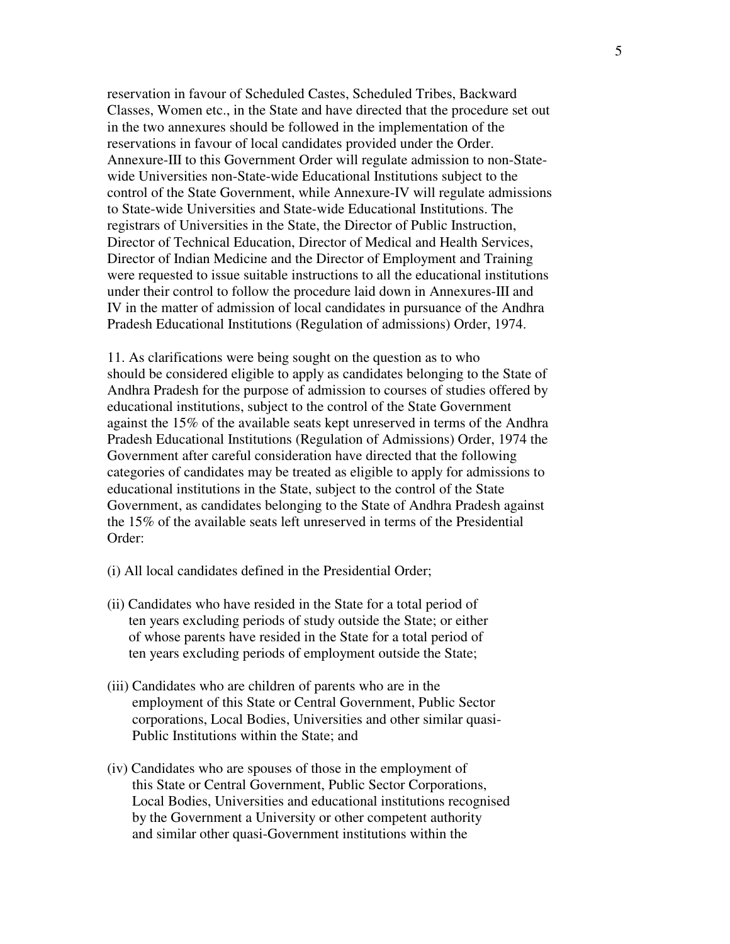reservation in favour of Scheduled Castes, Scheduled Tribes, Backward Classes, Women etc., in the State and have directed that the procedure set out in the two annexures should be followed in the implementation of the reservations in favour of local candidates provided under the Order. Annexure-III to this Government Order will regulate admission to non-Statewide Universities non-State-wide Educational Institutions subject to the control of the State Government, while Annexure-IV will regulate admissions to State-wide Universities and State-wide Educational Institutions. The registrars of Universities in the State, the Director of Public Instruction, Director of Technical Education, Director of Medical and Health Services, Director of Indian Medicine and the Director of Employment and Training were requested to issue suitable instructions to all the educational institutions under their control to follow the procedure laid down in Annexures-III and IV in the matter of admission of local candidates in pursuance of the Andhra Pradesh Educational Institutions (Regulation of admissions) Order, 1974.

11. As clarifications were being sought on the question as to who should be considered eligible to apply as candidates belonging to the State of Andhra Pradesh for the purpose of admission to courses of studies offered by educational institutions, subject to the control of the State Government against the 15% of the available seats kept unreserved in terms of the Andhra Pradesh Educational Institutions (Regulation of Admissions) Order, 1974 the Government after careful consideration have directed that the following categories of candidates may be treated as eligible to apply for admissions to educational institutions in the State, subject to the control of the State Government, as candidates belonging to the State of Andhra Pradesh against the 15% of the available seats left unreserved in terms of the Presidential Order:

- (i) All local candidates defined in the Presidential Order;
- (ii) Candidates who have resided in the State for a total period of ten years excluding periods of study outside the State; or either of whose parents have resided in the State for a total period of ten years excluding periods of employment outside the State;
- (iii) Candidates who are children of parents who are in the employment of this State or Central Government, Public Sector corporations, Local Bodies, Universities and other similar quasi- Public Institutions within the State; and
- (iv) Candidates who are spouses of those in the employment of this State or Central Government, Public Sector Corporations, Local Bodies, Universities and educational institutions recognised by the Government a University or other competent authority and similar other quasi-Government institutions within the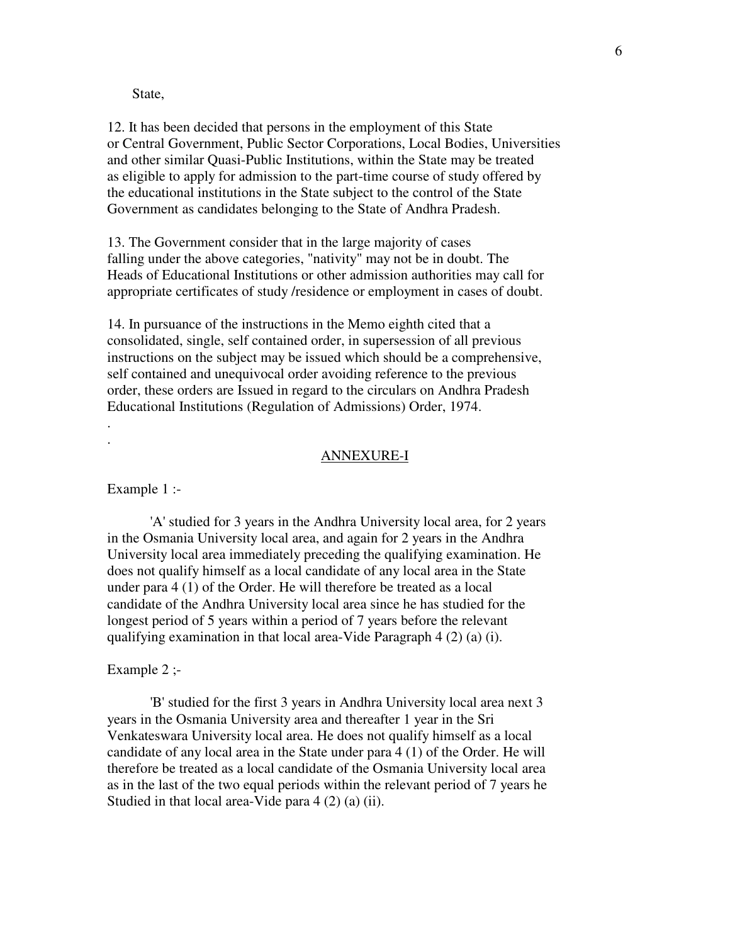State,

12. It has been decided that persons in the employment of this State or Central Government, Public Sector Corporations, Local Bodies, Universities and other similar Quasi-Public Institutions, within the State may be treated as eligible to apply for admission to the part-time course of study offered by the educational institutions in the State subject to the control of the State Government as candidates belonging to the State of Andhra Pradesh.

13. The Government consider that in the large majority of cases falling under the above categories, "nativity" may not be in doubt. The Heads of Educational Institutions or other admission authorities may call for appropriate certificates of study /residence or employment in cases of doubt.

14. In pursuance of the instructions in the Memo eighth cited that a consolidated, single, self contained order, in supersession of all previous instructions on the subject may be issued which should be a comprehensive, self contained and unequivocal order avoiding reference to the previous order, these orders are Issued in regard to the circulars on Andhra Pradesh Educational Institutions (Regulation of Admissions) Order, 1974.

#### ANNEXURE-I

Example 1 :-

. .

 'A' studied for 3 years in the Andhra University local area, for 2 years in the Osmania University local area, and again for 2 years in the Andhra University local area immediately preceding the qualifying examination. He does not qualify himself as a local candidate of any local area in the State under para 4 (1) of the Order. He will therefore be treated as a local candidate of the Andhra University local area since he has studied for the longest period of 5 years within a period of 7 years before the relevant qualifying examination in that local area-Vide Paragraph 4 (2) (a) (i).

#### Example 2 :-

 'B' studied for the first 3 years in Andhra University local area next 3 years in the Osmania University area and thereafter 1 year in the Sri Venkateswara University local area. He does not qualify himself as a local candidate of any local area in the State under para 4 (1) of the Order. He will therefore be treated as a local candidate of the Osmania University local area as in the last of the two equal periods within the relevant period of 7 years he Studied in that local area-Vide para 4 (2) (a) (ii).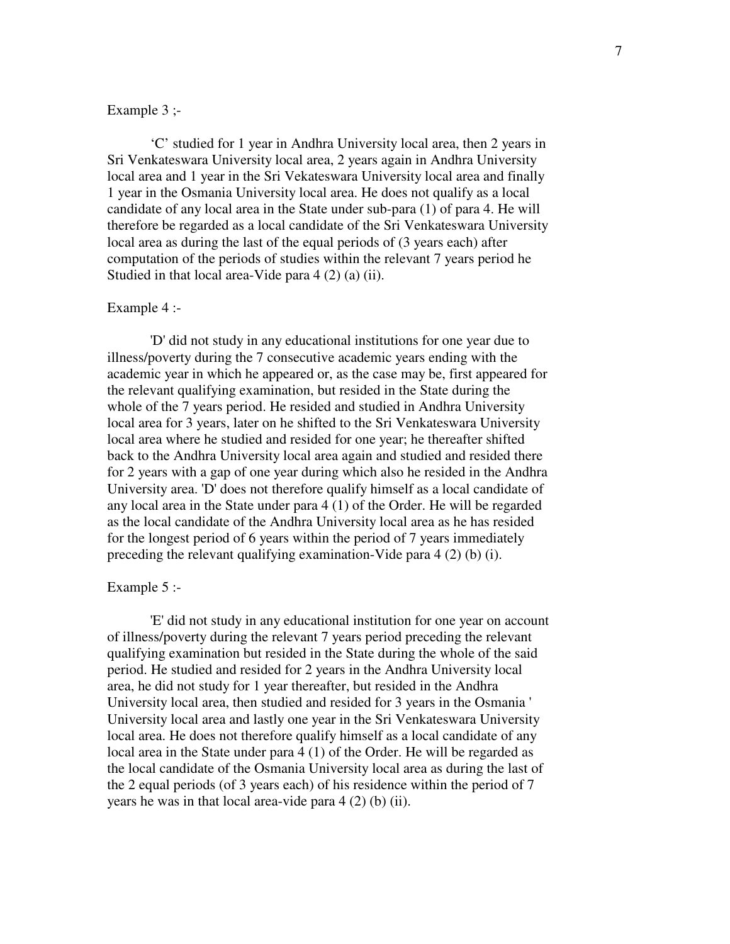## Example 3 ;-

 'C' studied for 1 year in Andhra University local area, then 2 years in Sri Venkateswara University local area, 2 years again in Andhra University local area and 1 year in the Sri Vekateswara University local area and finally 1 year in the Osmania University local area. He does not qualify as a local candidate of any local area in the State under sub-para (1) of para 4. He will therefore be regarded as a local candidate of the Sri Venkateswara University local area as during the last of the equal periods of (3 years each) after computation of the periods of studies within the relevant 7 years period he Studied in that local area-Vide para 4 (2) (a) (ii).

## Example 4 :-

 'D' did not study in any educational institutions for one year due to illness/poverty during the 7 consecutive academic years ending with the academic year in which he appeared or, as the case may be, first appeared for the relevant qualifying examination, but resided in the State during the whole of the 7 years period. He resided and studied in Andhra University local area for 3 years, later on he shifted to the Sri Venkateswara University local area where he studied and resided for one year; he thereafter shifted back to the Andhra University local area again and studied and resided there for 2 years with a gap of one year during which also he resided in the Andhra University area. 'D' does not therefore qualify himself as a local candidate of any local area in the State under para 4 (1) of the Order. He will be regarded as the local candidate of the Andhra University local area as he has resided for the longest period of 6 years within the period of 7 years immediately preceding the relevant qualifying examination-Vide para 4 (2) (b) (i).

#### Example 5 :-

 'E' did not study in any educational institution for one year on account of illness/poverty during the relevant 7 years period preceding the relevant qualifying examination but resided in the State during the whole of the said period. He studied and resided for 2 years in the Andhra University local area, he did not study for 1 year thereafter, but resided in the Andhra University local area, then studied and resided for 3 years in the Osmania ' University local area and lastly one year in the Sri Venkateswara University local area. He does not therefore qualify himself as a local candidate of any local area in the State under para 4 (1) of the Order. He will be regarded as the local candidate of the Osmania University local area as during the last of the 2 equal periods (of 3 years each) of his residence within the period of 7 years he was in that local area-vide para 4 (2) (b) (ii).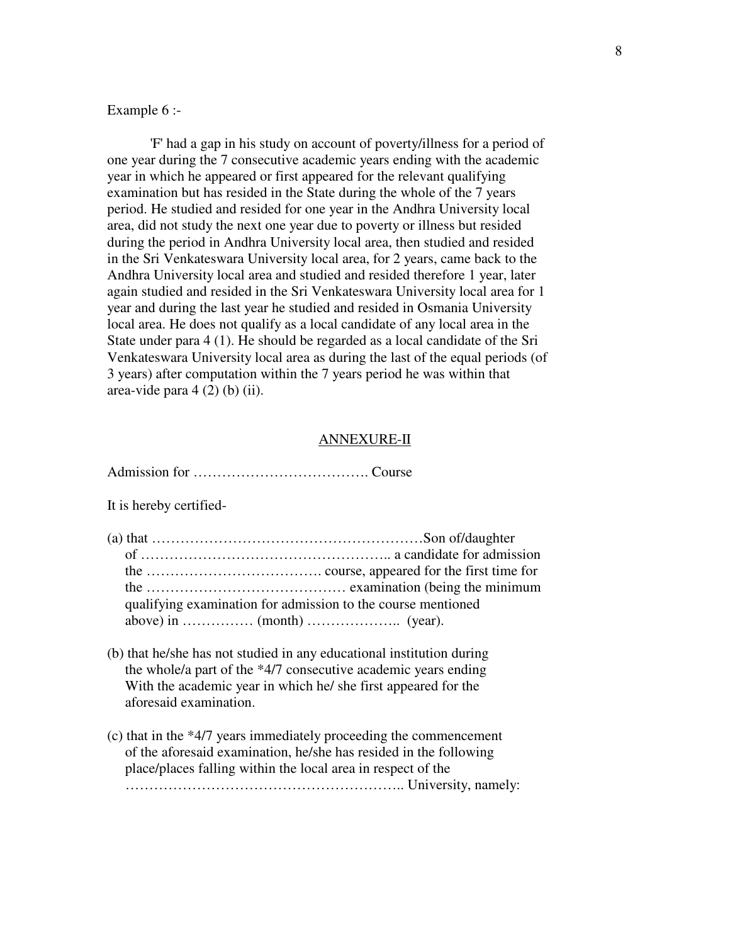## Example 6 :-

 'F' had a gap in his study on account of poverty/illness for a period of one year during the 7 consecutive academic years ending with the academic year in which he appeared or first appeared for the relevant qualifying examination but has resided in the State during the whole of the 7 years period. He studied and resided for one year in the Andhra University local area, did not study the next one year due to poverty or illness but resided during the period in Andhra University local area, then studied and resided in the Sri Venkateswara University local area, for 2 years, came back to the Andhra University local area and studied and resided therefore 1 year, later again studied and resided in the Sri Venkateswara University local area for 1 year and during the last year he studied and resided in Osmania University local area. He does not qualify as a local candidate of any local area in the State under para 4 (1). He should be regarded as a local candidate of the Sri Venkateswara University local area as during the last of the equal periods (of 3 years) after computation within the 7 years period he was within that area-vide para  $4(2)$  (b) (ii).

### ANNEXURE-II

|--|--|

It is hereby certified-

| qualifying examination for admission to the course mentioned |
|--------------------------------------------------------------|
|                                                              |

- (b) that he/she has not studied in any educational institution during the whole/a part of the \*4/7 consecutive academic years ending With the academic year in which he/ she first appeared for the aforesaid examination.
- (c) that in the \*4/7 years immediately proceeding the commencement of the aforesaid examination, he/she has resided in the following place/places falling within the local area in respect of the ………………………………………………….. University, namely: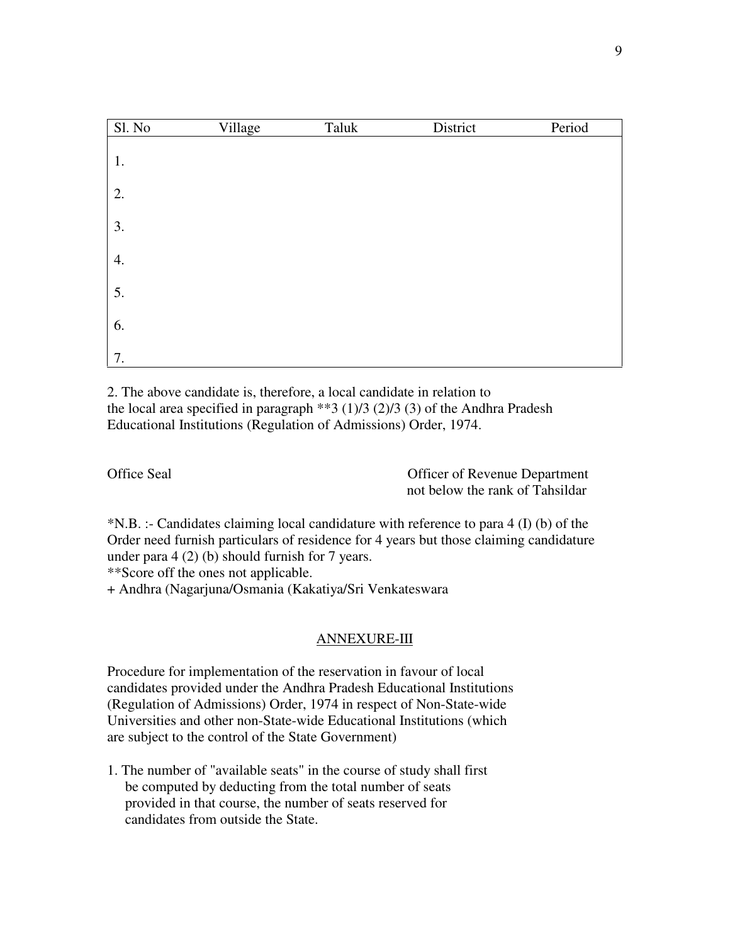| Sl. No | Village | Taluk | District | Period |
|--------|---------|-------|----------|--------|
| 1.     |         |       |          |        |
| 2.     |         |       |          |        |
| 3.     |         |       |          |        |
| 4.     |         |       |          |        |
| 5.     |         |       |          |        |
| 6.     |         |       |          |        |
| 7.     |         |       |          |        |

2. The above candidate is, therefore, a local candidate in relation to the local area specified in paragraph \*\*3 (1)/3 (2)/3 (3) of the Andhra Pradesh Educational Institutions (Regulation of Admissions) Order, 1974.

Office Seal Officer of Revenue Department not below the rank of Tahsildar

\*N.B. :- Candidates claiming local candidature with reference to para 4 (I) (b) of the Order need furnish particulars of residence for 4 years but those claiming candidature under para 4 (2) (b) should furnish for 7 years.

\*\*Score off the ones not applicable.

+ Andhra (Nagarjuna/Osmania (Kakatiya/Sri Venkateswara

## ANNEXURE-III

Procedure for implementation of the reservation in favour of local candidates provided under the Andhra Pradesh Educational Institutions (Regulation of Admissions) Order, 1974 in respect of Non-State-wide Universities and other non-State-wide Educational Institutions (which are subject to the control of the State Government)

1. The number of "available seats" in the course of study shall first be computed by deducting from the total number of seats provided in that course, the number of seats reserved for candidates from outside the State.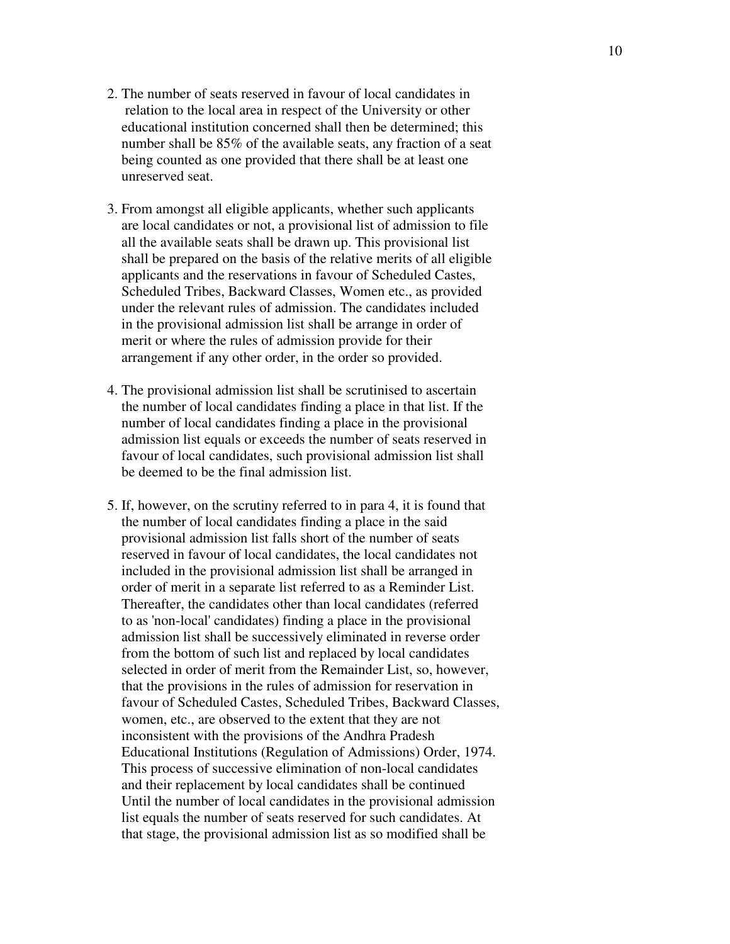- 2. The number of seats reserved in favour of local candidates in relation to the local area in respect of the University or other educational institution concerned shall then be determined; this number shall be 85% of the available seats, any fraction of a seat being counted as one provided that there shall be at least one unreserved seat.
- 3. From amongst all eligible applicants, whether such applicants are local candidates or not, a provisional list of admission to file all the available seats shall be drawn up. This provisional list shall be prepared on the basis of the relative merits of all eligible applicants and the reservations in favour of Scheduled Castes, Scheduled Tribes, Backward Classes, Women etc., as provided under the relevant rules of admission. The candidates included in the provisional admission list shall be arrange in order of merit or where the rules of admission provide for their arrangement if any other order, in the order so provided.
- 4. The provisional admission list shall be scrutinised to ascertain the number of local candidates finding a place in that list. If the number of local candidates finding a place in the provisional admission list equals or exceeds the number of seats reserved in favour of local candidates, such provisional admission list shall be deemed to be the final admission list.
- 5. If, however, on the scrutiny referred to in para 4, it is found that the number of local candidates finding a place in the said provisional admission list falls short of the number of seats reserved in favour of local candidates, the local candidates not included in the provisional admission list shall be arranged in order of merit in a separate list referred to as a Reminder List. Thereafter, the candidates other than local candidates (referred to as 'non-local' candidates) finding a place in the provisional admission list shall be successively eliminated in reverse order from the bottom of such list and replaced by local candidates selected in order of merit from the Remainder List, so, however, that the provisions in the rules of admission for reservation in favour of Scheduled Castes, Scheduled Tribes, Backward Classes, women, etc., are observed to the extent that they are not inconsistent with the provisions of the Andhra Pradesh Educational Institutions (Regulation of Admissions) Order, 1974. This process of successive elimination of non-local candidates and their replacement by local candidates shall be continued Until the number of local candidates in the provisional admission list equals the number of seats reserved for such candidates. At that stage, the provisional admission list as so modified shall be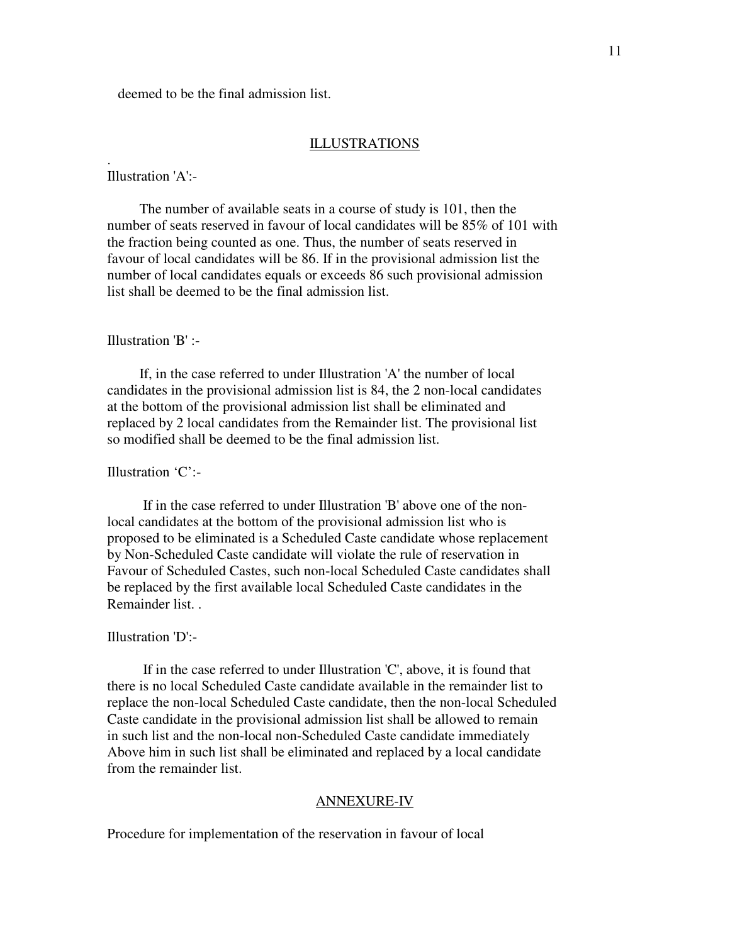deemed to be the final admission list.

### ILLUSTRATIONS

Illustration 'A':-

.

 The number of available seats in a course of study is 101, then the number of seats reserved in favour of local candidates will be 85% of 101 with the fraction being counted as one. Thus, the number of seats reserved in favour of local candidates will be 86. If in the provisional admission list the number of local candidates equals or exceeds 86 such provisional admission list shall be deemed to be the final admission list.

### Illustration 'B' :-

 If, in the case referred to under Illustration 'A' the number of local candidates in the provisional admission list is 84, the 2 non-local candidates at the bottom of the provisional admission list shall be eliminated and replaced by 2 local candidates from the Remainder list. The provisional list so modified shall be deemed to be the final admission list.

## Illustration 'C':-

 If in the case referred to under Illustration 'B' above one of the nonlocal candidates at the bottom of the provisional admission list who is proposed to be eliminated is a Scheduled Caste candidate whose replacement by Non-Scheduled Caste candidate will violate the rule of reservation in Favour of Scheduled Castes, such non-local Scheduled Caste candidates shall be replaced by the first available local Scheduled Caste candidates in the Remainder list. .

#### Illustration 'D':-

 If in the case referred to under Illustration 'C', above, it is found that there is no local Scheduled Caste candidate available in the remainder list to replace the non-local Scheduled Caste candidate, then the non-local Scheduled Caste candidate in the provisional admission list shall be allowed to remain in such list and the non-local non-Scheduled Caste candidate immediately Above him in such list shall be eliminated and replaced by a local candidate from the remainder list.

### ANNEXURE-IV

Procedure for implementation of the reservation in favour of local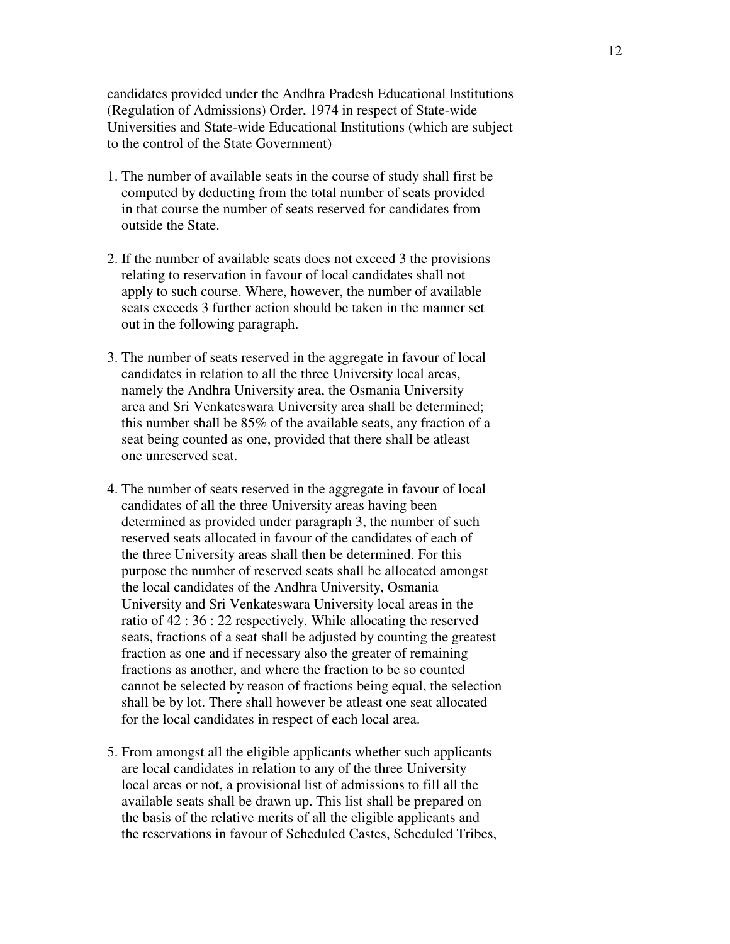candidates provided under the Andhra Pradesh Educational Institutions (Regulation of Admissions) Order, 1974 in respect of State-wide Universities and State-wide Educational Institutions (which are subject to the control of the State Government)

- 1. The number of available seats in the course of study shall first be computed by deducting from the total number of seats provided in that course the number of seats reserved for candidates from outside the State.
- 2. If the number of available seats does not exceed 3 the provisions relating to reservation in favour of local candidates shall not apply to such course. Where, however, the number of available seats exceeds 3 further action should be taken in the manner set out in the following paragraph.
- 3. The number of seats reserved in the aggregate in favour of local candidates in relation to all the three University local areas, namely the Andhra University area, the Osmania University area and Sri Venkateswara University area shall be determined; this number shall be 85% of the available seats, any fraction of a seat being counted as one, provided that there shall be atleast one unreserved seat.
- 4. The number of seats reserved in the aggregate in favour of local candidates of all the three University areas having been determined as provided under paragraph 3, the number of such reserved seats allocated in favour of the candidates of each of the three University areas shall then be determined. For this purpose the number of reserved seats shall be allocated amongst the local candidates of the Andhra University, Osmania University and Sri Venkateswara University local areas in the ratio of 42 : 36 : 22 respectively. While allocating the reserved seats, fractions of a seat shall be adjusted by counting the greatest fraction as one and if necessary also the greater of remaining fractions as another, and where the fraction to be so counted cannot be selected by reason of fractions being equal, the selection shall be by lot. There shall however be atleast one seat allocated for the local candidates in respect of each local area.
- 5. From amongst all the eligible applicants whether such applicants are local candidates in relation to any of the three University local areas or not, a provisional list of admissions to fill all the available seats shall be drawn up. This list shall be prepared on the basis of the relative merits of all the eligible applicants and the reservations in favour of Scheduled Castes, Scheduled Tribes,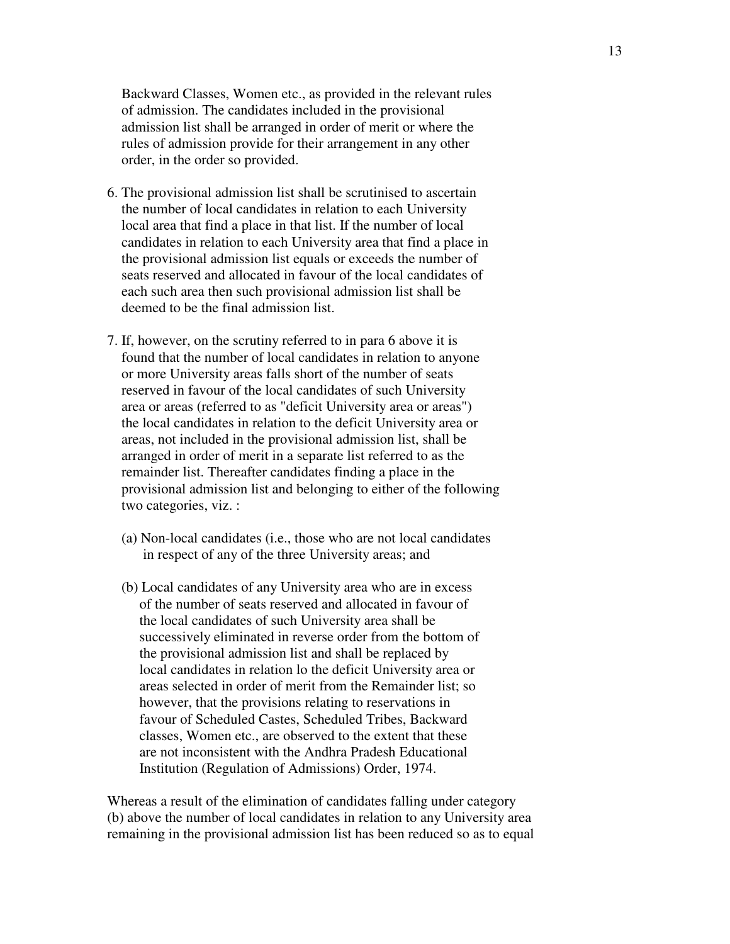Backward Classes, Women etc., as provided in the relevant rules of admission. The candidates included in the provisional admission list shall be arranged in order of merit or where the rules of admission provide for their arrangement in any other order, in the order so provided.

- 6. The provisional admission list shall be scrutinised to ascertain the number of local candidates in relation to each University local area that find a place in that list. If the number of local candidates in relation to each University area that find a place in the provisional admission list equals or exceeds the number of seats reserved and allocated in favour of the local candidates of each such area then such provisional admission list shall be deemed to be the final admission list.
- 7. If, however, on the scrutiny referred to in para 6 above it is found that the number of local candidates in relation to anyone or more University areas falls short of the number of seats reserved in favour of the local candidates of such University area or areas (referred to as "deficit University area or areas") the local candidates in relation to the deficit University area or areas, not included in the provisional admission list, shall be arranged in order of merit in a separate list referred to as the remainder list. Thereafter candidates finding a place in the provisional admission list and belonging to either of the following two categories, viz. :
	- (a) Non-local candidates (i.e., those who are not local candidates in respect of any of the three University areas; and
	- (b) Local candidates of any University area who are in excess of the number of seats reserved and allocated in favour of the local candidates of such University area shall be successively eliminated in reverse order from the bottom of the provisional admission list and shall be replaced by local candidates in relation lo the deficit University area or areas selected in order of merit from the Remainder list; so however, that the provisions relating to reservations in favour of Scheduled Castes, Scheduled Tribes, Backward classes, Women etc., are observed to the extent that these are not inconsistent with the Andhra Pradesh Educational Institution (Regulation of Admissions) Order, 1974.

Whereas a result of the elimination of candidates falling under category (b) above the number of local candidates in relation to any University area remaining in the provisional admission list has been reduced so as to equal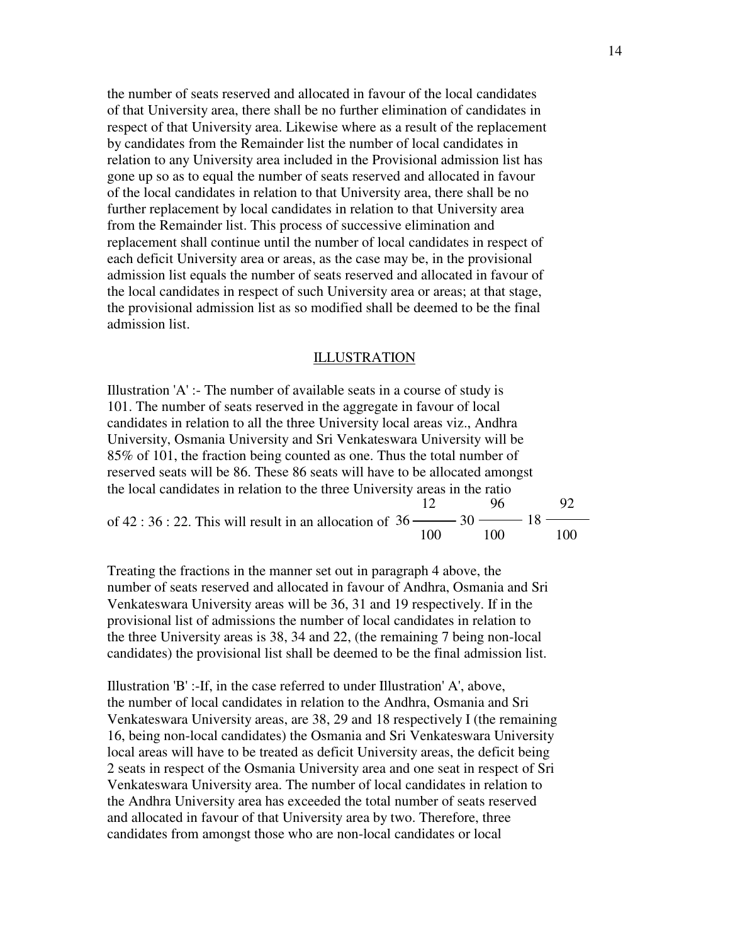the number of seats reserved and allocated in favour of the local candidates of that University area, there shall be no further elimination of candidates in respect of that University area. Likewise where as a result of the replacement by candidates from the Remainder list the number of local candidates in relation to any University area included in the Provisional admission list has gone up so as to equal the number of seats reserved and allocated in favour of the local candidates in relation to that University area, there shall be no further replacement by local candidates in relation to that University area from the Remainder list. This process of successive elimination and replacement shall continue until the number of local candidates in respect of each deficit University area or areas, as the case may be, in the provisional admission list equals the number of seats reserved and allocated in favour of the local candidates in respect of such University area or areas; at that stage, the provisional admission list as so modified shall be deemed to be the final admission list.

#### ILLUSTRATION

Illustration 'A' :- The number of available seats in a course of study is 101. The number of seats reserved in the aggregate in favour of local candidates in relation to all the three University local areas viz., Andhra University, Osmania University and Sri Venkateswara University will be 85% of 101, the fraction being counted as one. Thus the total number of reserved seats will be 86. These 86 seats will have to be allocated amongst the local candidates in relation to the three University areas in the ratio of 42 : 36 : 22. This will result in an allocation of 36 12  $-30 \longrightarrow 18$ 100 96 100 92 100

Treating the fractions in the manner set out in paragraph 4 above, the number of seats reserved and allocated in favour of Andhra, Osmania and Sri Venkateswara University areas will be 36, 31 and 19 respectively. If in the provisional list of admissions the number of local candidates in relation to the three University areas is 38, 34 and 22, (the remaining 7 being non-local candidates) the provisional list shall be deemed to be the final admission list.

Illustration 'B' :-If, in the case referred to under Illustration' A', above, the number of local candidates in relation to the Andhra, Osmania and Sri Venkateswara University areas, are 38, 29 and 18 respectively I (the remaining 16, being non-local candidates) the Osmania and Sri Venkateswara University local areas will have to be treated as deficit University areas, the deficit being 2 seats in respect of the Osmania University area and one seat in respect of Sri Venkateswara University area. The number of local candidates in relation to the Andhra University area has exceeded the total number of seats reserved and allocated in favour of that University area by two. Therefore, three candidates from amongst those who are non-local candidates or local